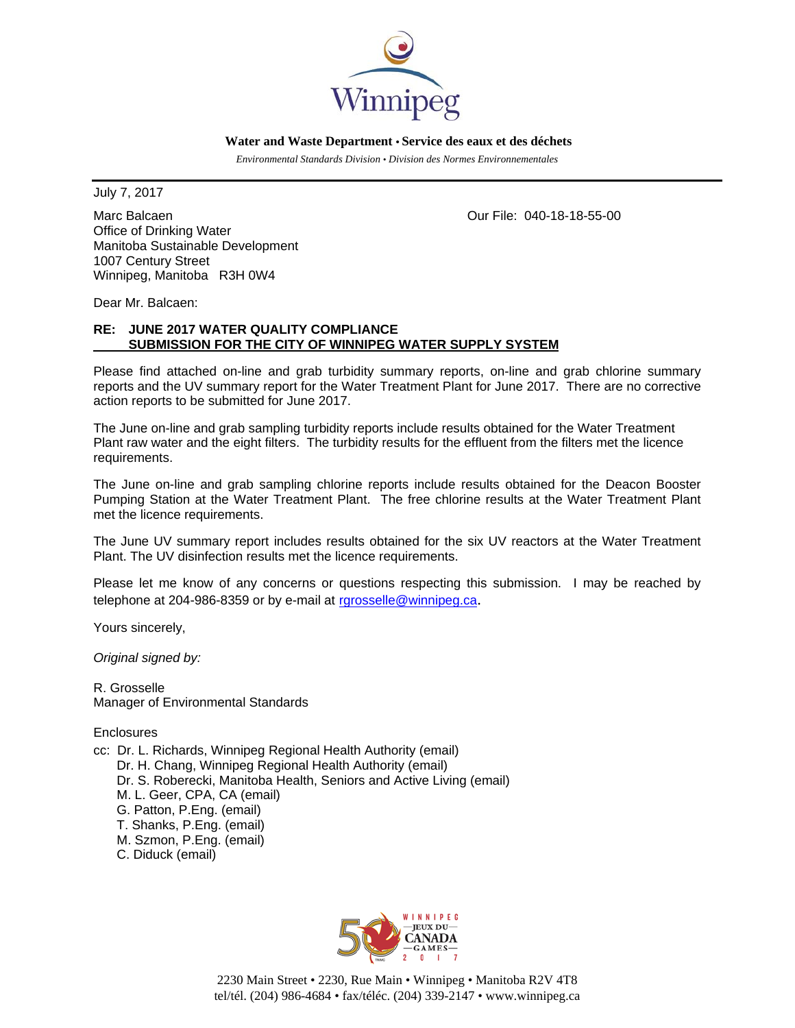

 **Water and Waste Department • Service des eaux et des déchets**

 *Environmental Standards Division • Division des Normes Environnementales* 

July 7, 2017

Marc Balcaen **Our File: 040-18-18-55-00** Office of Drinking Water Manitoba Sustainable Development 1007 Century Street Winnipeg, Manitoba R3H 0W4

Dear Mr. Balcaen:

# **RE: JUNE 2017 WATER QUALITY COMPLIANCE SUBMISSION FOR THE CITY OF WINNIPEG WATER SUPPLY SYSTEM**

Please find attached on-line and grab turbidity summary reports, on-line and grab chlorine summary reports and the UV summary report for the Water Treatment Plant for June 2017. There are no corrective action reports to be submitted for June 2017.

The June on-line and grab sampling turbidity reports include results obtained for the Water Treatment Plant raw water and the eight filters. The turbidity results for the effluent from the filters met the licence requirements.

The June on-line and grab sampling chlorine reports include results obtained for the Deacon Booster Pumping Station at the Water Treatment Plant. The free chlorine results at the Water Treatment Plant met the licence requirements.

The June UV summary report includes results obtained for the six UV reactors at the Water Treatment Plant. The UV disinfection results met the licence requirements.

Please let me know of any concerns or questions respecting this submission. I may be reached by telephone at 204-986-8359 or by e-mail at rgrosselle@winnipeg.ca.

Yours sincerely,

*Original signed by:* 

R. Grosselle Manager of Environmental Standards

**Enclosures** 

cc: Dr. L. Richards, Winnipeg Regional Health Authority (email) Dr. H. Chang, Winnipeg Regional Health Authority (email) Dr. S. Roberecki, Manitoba Health, Seniors and Active Living (email) M. L. Geer, CPA, CA (email) G. Patton, P.Eng. (email) T. Shanks, P.Eng. (email) M. Szmon, P.Eng. (email) C. Diduck (email)



2230 Main Street • 2230, Rue Main • Winnipeg • Manitoba R2V 4T8 tel/tél. (204) 986-4684 • fax/téléc. (204) 339-2147 • www.winnipeg.ca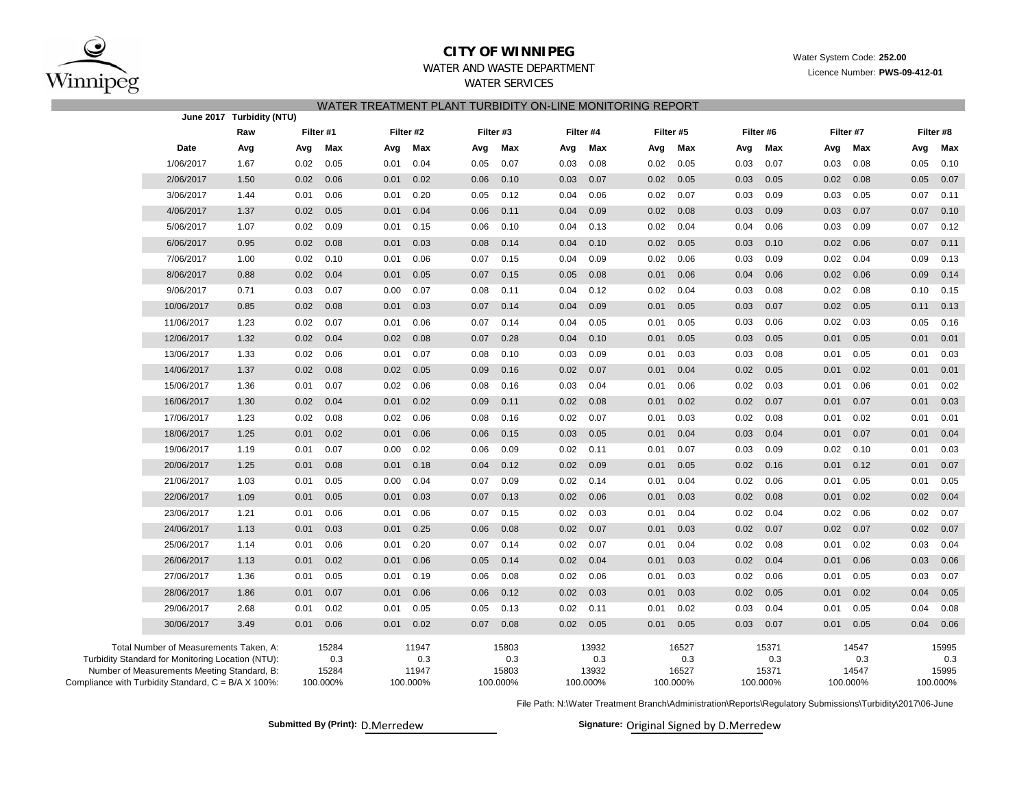

## **CITY OF WINNIPEG**WATER AND WASTE DEPARTMENT

Water System Code: **252.00**

Licence Number: **PWS-09-412-01**

### WATER SERVICES

| WATER TREATMENT PLANT TURBIDITY ON-LINE MONITORING REPORT |
|-----------------------------------------------------------|
|-----------------------------------------------------------|

| June 2017 Turbidity (NTU)                                    |           |           |           |           |           |           |           |           |  |
|--------------------------------------------------------------|-----------|-----------|-----------|-----------|-----------|-----------|-----------|-----------|--|
| Raw                                                          | Filter #1 | Filter #2 | Filter #3 | Filter #4 | Filter #5 | Filter #6 | Filter #7 | Filter #8 |  |
| Date                                                         | Max       | Max       | Max       | Max       | Max       | Max       | Max       | Max       |  |
| Avg                                                          | Avg       | Avg       | Avg       | Avg       | Avg       | Avg       | Avg       | Avg       |  |
| 1/06/2017                                                    | 0.05      | 0.04      | 0.07      | 0.08      | 0.05      | 0.07      | 0.03      | 0.10      |  |
| 1.67                                                         | 0.02      | 0.01      | 0.05      | 0.03      | 0.02      | 0.03      | 0.08      | 0.05      |  |
| 1.50                                                         | 0.06      | 0.02      | 0.06      | 0.07      | 0.02      | 0.05      | 0.08      | 0.05      |  |
| 2/06/2017                                                    | 0.02      | 0.01      | 0.10      | 0.03      | 0.05      | 0.03      | 0.02      | 0.07      |  |
| 3/06/2017                                                    | 0.06      | 0.20      | 0.12      | 0.06      | 0.07      | 0.09      | 0.05      | 0.11      |  |
| 1.44                                                         | 0.01      | 0.01      | 0.05      | 0.04      | 0.02      | 0.03      | 0.03      | 0.07      |  |
| 4/06/2017                                                    | 0.05      | 0.01      | 0.06      | 0.04      | 0.02      | 0.03      | 0.07      | 0.07      |  |
| 1.37                                                         | 0.02      | 0.04      | 0.11      | 0.09      | 0.08      | 0.09      | 0.03      | 0.10      |  |
| 5/06/2017                                                    | 0.02      | 0.01      | 0.06      | 0.04      | 0.04      | 0.04      | 0.03      | 0.07      |  |
| 1.07                                                         | 0.09      | 0.15      | 0.10      | 0.13      | 0.02      | 0.06      | 0.09      | 0.12      |  |
| 6/06/2017                                                    | 0.08      | 0.03      | 0.08      | 0.04      | 0.05      | 0.03      | 0.02      | 0.07      |  |
| 0.95                                                         | 0.02      | 0.01      | 0.14      | 0.10      | 0.02      | 0.10      | 0.06      | 0.11      |  |
| 7/06/2017                                                    | 0.02      | 0.06      | 0.15      | 0.09      | 0.06      | 0.09      | 0.04      | 0.09      |  |
| 1.00                                                         | 0.10      | 0.01      | 0.07      | 0.04      | 0.02      | 0.03      | 0.02      | 0.13      |  |
| 8/06/2017                                                    | 0.04      | 0.05      | 0.07      | 0.08      | 0.01      | 0.04      | 0.06      | 0.14      |  |
| 0.88                                                         | 0.02      | 0.01      | 0.15      | 0.05      | 0.06      | 0.06      | 0.02      | 0.09      |  |
| 9/06/2017                                                    | 0.07      | 0.07      | 0.08      | 0.12      | 0.04      | 0.03      | 0.02      | 0.15      |  |
| 0.71                                                         | 0.03      | 0.00      | 0.11      | 0.04      | 0.02      | 0.08      | 0.08      | 0.10      |  |
| 10/06/2017                                                   | 0.08      | 0.03      | 0.14      | 0.09      | 0.05      | 0.07      | 0.05      | 0.13      |  |
| 0.85                                                         | 0.02      | 0.01      | 0.07      | 0.04      | 0.01      | 0.03      | 0.02      | 0.11      |  |
| 11/06/2017                                                   | 0.02      | 0.01      | 0.07      | 0.04      | 0.01      | 0.03      | 0.02      | 0.05      |  |
| 1.23                                                         | 0.07      | 0.06      | 0.14      | 0.05      | 0.05      | 0.06      | 0.03      | 0.16      |  |
| 1.32                                                         | 0.04      | 0.08      | 0.28      | 0.10      | 0.05      | 0.05      | 0.05      | 0.01      |  |
| 12/06/2017                                                   | 0.02      | 0.02      | 0.07      | 0.04      | 0.01      | 0.03      | 0.01      | 0.01      |  |
| 13/06/2017                                                   | 0.02      | 0.01      | 0.08      | 0.03      | 0.01      | 0.03      | 0.01      | 0.01      |  |
| 1.33                                                         | 0.06      | 0.07      | 0.10      | 0.09      | 0.03      | 0.08      | 0.05      | 0.03      |  |
| 14/06/2017                                                   | 0.08      | 0.02      | 0.09      | 0.07      | 0.01      | 0.02      | 0.02      | 0.01      |  |
| 1.37                                                         | 0.02      | 0.05      | 0.16      | 0.02      | 0.04      | 0.05      | 0.01      | 0.01      |  |
| 15/06/2017                                                   | 0.07      | 0.02      | 0.08      | 0.04      | 0.06      | 0.02      | 0.06      | 0.01      |  |
| 1.36                                                         | 0.01      | 0.06      | 0.16      | 0.03      | 0.01      | 0.03      | 0.01      | 0.02      |  |
| 16/06/2017                                                   | 0.02      | 0.01      | 0.09      | 0.02      | 0.02      | 0.02      | 0.01      | 0.03      |  |
| 1.30                                                         | 0.04      | 0.02      | 0.11      | 0.08      | 0.01      | 0.07      | 0.07      | 0.01      |  |
| 17/06/2017                                                   | 0.08      | 0.02      | 0.08      | 0.02      | 0.03      | 0.02      | 0.02      | 0.01      |  |
| 1.23                                                         | 0.02      | 0.06      | 0.16      | 0.07      | 0.01      | 0.08      | 0.01      | 0.01      |  |
| 18/06/2017                                                   | 0.01      | 0.01      | 0.06      | 0.03      | 0.01      | 0.03      | 0.07      | 0.04      |  |
| 1.25                                                         | 0.02      | 0.06      | 0.15      | 0.05      | 0.04      | 0.04      | 0.01      | 0.01      |  |
| 19/06/2017                                                   | 0.07      | 0.02      | 0.09      | 0.02      | 0.07      | 0.09      | 0.02      | 0.03      |  |
| 1.19                                                         | 0.01      | 0.00      | 0.06      | 0.11      | 0.01      | 0.03      | 0.10      | 0.01      |  |
| 20/06/2017                                                   | 0.08      | 0.18      | 0.04      | 0.09      | 0.05      | 0.02      | 0.12      | 0.07      |  |
| 1.25                                                         | 0.01      | 0.01      | 0.12      | 0.02      | 0.01      | 0.16      | 0.01      | 0.01      |  |
| 21/06/2017                                                   | 0.05      | 0.00      | 0.07      | 0.14      | 0.01      | 0.02      | 0.05      | 0.05      |  |
| 1.03                                                         | 0.01      | 0.04      | 0.09      | 0.02      | 0.04      | 0.06      | 0.01      | 0.01      |  |
| 22/06/2017                                                   | 0.05      | 0.03      | 0.07      | 0.02      | 0.03      | 0.02      | 0.02      | 0.02      |  |
| 1.09                                                         | 0.01      | 0.01      | 0.13      | 0.06      | 0.01      | 0.08      | 0.01      | 0.04      |  |
| 23/06/2017                                                   | 0.06      | 0.01      | 0.07      | 0.02      | 0.01      | 0.02      | 0.02      | 0.02      |  |
| 1.21                                                         | 0.01      | 0.06      | 0.15      | 0.03      | 0.04      | 0.04      | 0.06      | 0.07      |  |
| 1.13                                                         | 0.03      | 0.25      | 0.06      | 0.02      | 0.03      | 0.07      | 0.02      | 0.02      |  |
| 24/06/2017                                                   | 0.01      | 0.01      | 0.08      | 0.07      | 0.01      | 0.02      | 0.07      | 0.07      |  |
| 25/06/2017                                                   | 0.06      | 0.20      | 0.07      | 0.07      | 0.04      | 0.02      | 0.02      | 0.03      |  |
| 1.14                                                         | 0.01      | 0.01      | 0.14      | 0.02      | 0.01      | 0.08      | 0.01      | 0.04      |  |
| 26/06/2017                                                   | 0.02      | 0.01      | 0.05      | 0.04      | 0.03      | 0.02      | 0.01      | 0.06      |  |
| 1.13                                                         | 0.01      | 0.06      | 0.14      | 0.02      | 0.01      | 0.04      | 0.06      | 0.03      |  |
| 27/06/2017                                                   | 0.01      | 0.19      | 0.08      | 0.02      | 0.03      | 0.06      | 0.01      | 0.07      |  |
| 1.36                                                         | 0.05      | 0.01      | 0.06      | 0.06      | 0.01      | 0.02      | 0.05      | 0.03      |  |
| 28/06/2017                                                   | 0.07      | 0.06      | 0.12      | 0.03      | 0.03      | 0.02      | 0.02      | 0.04      |  |
| 1.86                                                         | 0.01      | 0.01      | 0.06      | 0.02      | 0.01      | 0.05      | 0.01      | 0.05      |  |
| 2.68                                                         | 0.02      | 0.05      | 0.13      | 0.02      | 0.02      | 0.04      | 0.05      | 0.04      |  |
| 29/06/2017                                                   | 0.01      | 0.01      | 0.05      | 0.11      | 0.01      | 0.03      | 0.01      | 0.08      |  |
| 30/06/2017                                                   | 0.01      | 0.01      | 0.07      | 0.05      | 0.05      | 0.03      | 0.05      | 0.04      |  |
| 3.49                                                         | 0.06      | 0.02      | 0.08      | 0.02      | 0.01      | 0.07      | 0.01      | 0.06      |  |
| Total Number of Measurements Taken, A:                       | 15284     | 11947     | 15803     | 13932     | 16527     | 15371     | 14547     | 15995     |  |
| Turbidity Standard for Monitoring Location (NTU):            | 0.3       | 0.3       | 0.3       | 0.3       | 0.3       | 0.3       | 0.3       | 0.3       |  |
| Number of Measurements Meeting Standard, B:                  | 15284     | 11947     | 15803     | 13932     | 16527     | 15371     | 14547     | 15995     |  |
| Compliance with Turbidity Standard, $C = B/A \times 100\%$ : | 100.000%  | 100.000%  | 100.000%  | 100.000%  | 100.000%  | 100.000%  | 100.000%  | 100.000%  |  |

File Path: N:\Water Treatment Branch\Administration\Reports\Regulatory Submissions\Turbidity\2017\06-June

Submitted By (Print): D.Merredew **Signature:** Original Signed by D.Merredew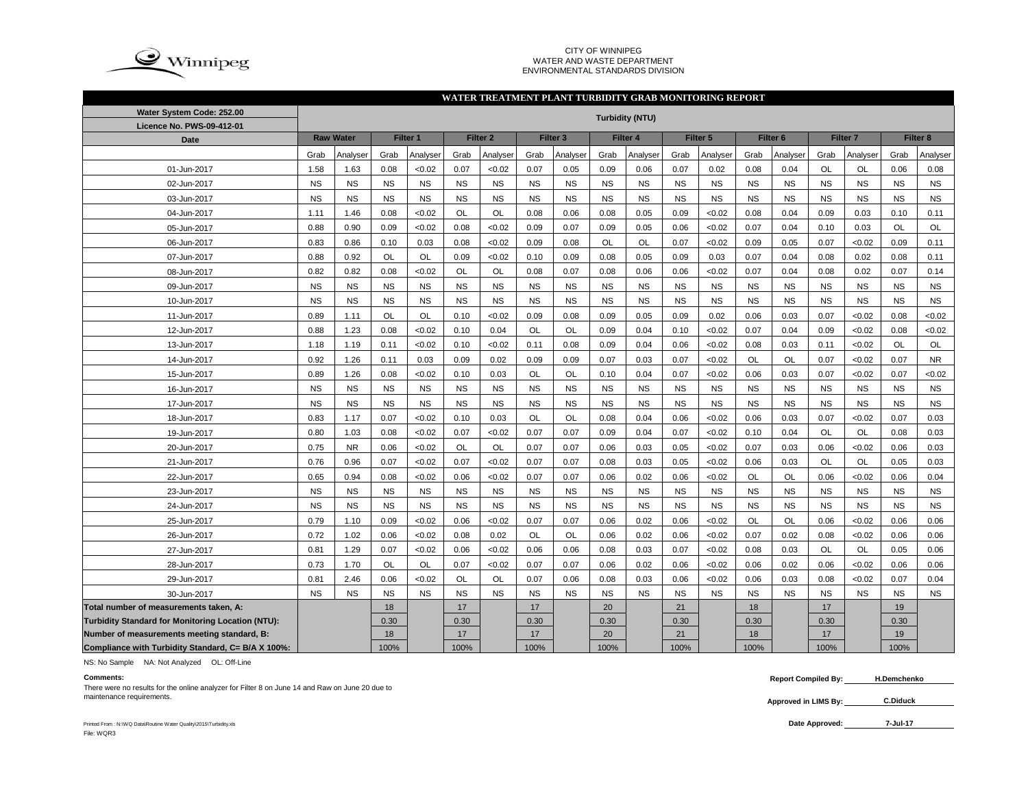

#### CITY OF WINNIPEG WATER AND WASTE DEPARTMENTENVIRONMENTAL STANDARDS DIVISION

### **WATER TREATMENT PLANT TURBIDITY GRAB MONITORING REPORT**

| Water System Code: 252.00                                |           |                  |           |                     |           |                     |           |                     |           | <b>Turbidity (NTU)</b> |           |                     |           |                     |           |                 |           |                     |
|----------------------------------------------------------|-----------|------------------|-----------|---------------------|-----------|---------------------|-----------|---------------------|-----------|------------------------|-----------|---------------------|-----------|---------------------|-----------|-----------------|-----------|---------------------|
| Licence No. PWS-09-412-01                                |           |                  |           |                     |           |                     |           |                     |           |                        |           |                     |           |                     |           |                 |           |                     |
| <b>Date</b>                                              |           | <b>Raw Water</b> |           | Filter <sub>1</sub> |           | Filter <sub>2</sub> |           | Filter <sub>3</sub> |           | Filter 4               |           | Filter <sub>5</sub> |           | Filter <sub>6</sub> |           | <b>Filter 7</b> |           | Filter <sub>8</sub> |
|                                                          | Grab      | Analyser         | Grab      | Analyser            | Grab      | Analyser            | Grab      | Analyser            | Grab      | Analyser               | Grab      | Analyser            | Grab      | Analyser            | Grab      | Analyser        | Grab      | Analyser            |
| 01-Jun-2017                                              | 1.58      | 1.63             | 0.08      | <0.02               | 0.07      | <0.02               | 0.07      | 0.05                | 0.09      | 0.06                   | 0.07      | 0.02                | 0.08      | 0.04                | <b>OL</b> | <b>OL</b>       | 0.06      | 0.08                |
| 02-Jun-2017                                              | <b>NS</b> | <b>NS</b>        | <b>NS</b> | <b>NS</b>           | <b>NS</b> | <b>NS</b>           | <b>NS</b> | <b>NS</b>           | <b>NS</b> | <b>NS</b>              | <b>NS</b> | <b>NS</b>           | <b>NS</b> | <b>NS</b>           | <b>NS</b> | <b>NS</b>       | <b>NS</b> | <b>NS</b>           |
| 03-Jun-2017                                              | <b>NS</b> | <b>NS</b>        | <b>NS</b> | <b>NS</b>           | <b>NS</b> | <b>NS</b>           | <b>NS</b> | <b>NS</b>           | <b>NS</b> | <b>NS</b>              | <b>NS</b> | <b>NS</b>           | <b>NS</b> | <b>NS</b>           | <b>NS</b> | <b>NS</b>       | <b>NS</b> | <b>NS</b>           |
| 04-Jun-2017                                              | 1.11      | 1.46             | 0.08      | <0.02               | <b>OL</b> | OL                  | 0.08      | 0.06                | 0.08      | 0.05                   | 0.09      | <0.02               | 0.08      | 0.04                | 0.09      | 0.03            | 0.10      | 0.11                |
| 05-Jun-2017                                              | 0.88      | 0.90             | 0.09      | <0.02               | 0.08      | <0.02               | 0.09      | 0.07                | 0.09      | 0.05                   | 0.06      | <0.02               | 0.07      | 0.04                | 0.10      | 0.03            | OL        | OL                  |
| 06-Jun-2017                                              | 0.83      | 0.86             | 0.10      | 0.03                | 0.08      | <0.02               | 0.09      | 0.08                | OL        | OL                     | 0.07      | <0.02               | 0.09      | 0.05                | 0.07      | < 0.02          | 0.09      | 0.11                |
| 07-Jun-2017                                              | 0.88      | 0.92             | <b>OL</b> | OL                  | 0.09      | <0.02               | 0.10      | 0.09                | 0.08      | 0.05                   | 0.09      | 0.03                | 0.07      | 0.04                | 0.08      | 0.02            | 0.08      | 0.11                |
| 08-Jun-2017                                              | 0.82      | 0.82             | 0.08      | <0.02               | <b>OL</b> | <b>OL</b>           | 0.08      | 0.07                | 0.08      | 0.06                   | 0.06      | <0.02               | 0.07      | 0.04                | 0.08      | 0.02            | 0.07      | 0.14                |
| 09-Jun-2017                                              | <b>NS</b> | <b>NS</b>        | <b>NS</b> | <b>NS</b>           | <b>NS</b> | <b>NS</b>           | <b>NS</b> | <b>NS</b>           | <b>NS</b> | <b>NS</b>              | <b>NS</b> | <b>NS</b>           | <b>NS</b> | <b>NS</b>           | <b>NS</b> | <b>NS</b>       | <b>NS</b> | <b>NS</b>           |
| 10-Jun-2017                                              | <b>NS</b> | <b>NS</b>        | <b>NS</b> | <b>NS</b>           | <b>NS</b> | <b>NS</b>           | <b>NS</b> | <b>NS</b>           | <b>NS</b> | <b>NS</b>              | <b>NS</b> | <b>NS</b>           | <b>NS</b> | <b>NS</b>           | <b>NS</b> | <b>NS</b>       | <b>NS</b> | <b>NS</b>           |
| 11-Jun-2017                                              | 0.89      | 1.11             | OL        | <b>OL</b>           | 0.10      | <0.02               | 0.09      | 0.08                | 0.09      | 0.05                   | 0.09      | 0.02                | 0.06      | 0.03                | 0.07      | <0.02           | 0.08      | <0.02               |
| 12-Jun-2017                                              | 0.88      | 1.23             | 0.08      | <0.02               | 0.10      | 0.04                | <b>OL</b> | OL                  | 0.09      | 0.04                   | 0.10      | <0.02               | 0.07      | 0.04                | 0.09      | < 0.02          | 0.08      | <0.02               |
| 13-Jun-2017                                              | 1.18      | 1.19             | 0.11      | <0.02               | 0.10      | <0.02               | 0.11      | 0.08                | 0.09      | 0.04                   | 0.06      | <0.02               | 0.08      | 0.03                | 0.11      | < 0.02          | OL        | OL                  |
| 14-Jun-2017                                              | 0.92      | 1.26             | 0.11      | 0.03                | 0.09      | 0.02                | 0.09      | 0.09                | 0.07      | 0.03                   | 0.07      | < 0.02              | OL        | <b>OL</b>           | 0.07      | < 0.02          | 0.07      | <b>NR</b>           |
| 15-Jun-2017                                              | 0.89      | 1.26             | 0.08      | <0.02               | 0.10      | 0.03                | OL        | OL                  | 0.10      | 0.04                   | 0.07      | < 0.02              | 0.06      | 0.03                | 0.07      | < 0.02          | 0.07      | < 0.02              |
| 16-Jun-2017                                              | <b>NS</b> | <b>NS</b>        | <b>NS</b> | <b>NS</b>           | <b>NS</b> | <b>NS</b>           | <b>NS</b> | <b>NS</b>           | <b>NS</b> | <b>NS</b>              | <b>NS</b> | <b>NS</b>           | <b>NS</b> | <b>NS</b>           | <b>NS</b> | <b>NS</b>       | <b>NS</b> | <b>NS</b>           |
| 17-Jun-2017                                              | <b>NS</b> | <b>NS</b>        | <b>NS</b> | <b>NS</b>           | <b>NS</b> | <b>NS</b>           | <b>NS</b> | <b>NS</b>           | <b>NS</b> | <b>NS</b>              | <b>NS</b> | <b>NS</b>           | <b>NS</b> | <b>NS</b>           | <b>NS</b> | <b>NS</b>       | <b>NS</b> | <b>NS</b>           |
| 18-Jun-2017                                              | 0.83      | 1.17             | 0.07      | < 0.02              | 0.10      | 0.03                | OL        | OL                  | 0.08      | 0.04                   | 0.06      | < 0.02              | 0.06      | 0.03                | 0.07      | <0.02           | 0.07      | 0.03                |
| 19-Jun-2017                                              | 0.80      | 1.03             | 0.08      | < 0.02              | 0.07      | < 0.02              | 0.07      | 0.07                | 0.09      | 0.04                   | 0.07      | < 0.02              | 0.10      | 0.04                | OL        | OL              | 0.08      | 0.03                |
| 20-Jun-2017                                              | 0.75      | <b>NR</b>        | 0.06      | <0.02               | <b>OL</b> | OL                  | 0.07      | 0.07                | 0.06      | 0.03                   | 0.05      | < 0.02              | 0.07      | 0.03                | 0.06      | < 0.02          | 0.06      | 0.03                |
| 21-Jun-2017                                              | 0.76      | 0.96             | 0.07      | < 0.02              | 0.07      | < 0.02              | 0.07      | 0.07                | 0.08      | 0.03                   | 0.05      | < 0.02              | 0.06      | 0.03                | OL        | OL              | 0.05      | 0.03                |
| 22-Jun-2017                                              | 0.65      | 0.94             | 0.08      | < 0.02              | 0.06      | < 0.02              | 0.07      | 0.07                | 0.06      | 0.02                   | 0.06      | < 0.02              | OL        | OL                  | 0.06      | < 0.02          | 0.06      | 0.04                |
| 23-Jun-2017                                              | NS        | <b>NS</b>        | <b>NS</b> | <b>NS</b>           | <b>NS</b> | <b>NS</b>           | <b>NS</b> | <b>NS</b>           | <b>NS</b> | <b>NS</b>              | <b>NS</b> | <b>NS</b>           | <b>NS</b> | <b>NS</b>           | <b>NS</b> | <b>NS</b>       | <b>NS</b> | <b>NS</b>           |
| 24-Jun-2017                                              | <b>NS</b> | <b>NS</b>        | <b>NS</b> | <b>NS</b>           | <b>NS</b> | <b>NS</b>           | <b>NS</b> | <b>NS</b>           | NS        | <b>NS</b>              | <b>NS</b> | <b>NS</b>           | <b>NS</b> | <b>NS</b>           | <b>NS</b> | <b>NS</b>       | <b>NS</b> | <b>NS</b>           |
| 25-Jun-2017                                              | 0.79      | 1.10             | 0.09      | < 0.02              | 0.06      | < 0.02              | 0.07      | 0.07                | 0.06      | 0.02                   | 0.06      | < 0.02              | OL        | OL                  | 0.06      | <0.02           | 0.06      | 0.06                |
| 26-Jun-2017                                              | 0.72      | 1.02             | 0.06      | < 0.02              | 0.08      | 0.02                | OL        | OL                  | 0.06      | 0.02                   | 0.06      | < 0.02              | 0.07      | 0.02                | 0.08      | < 0.02          | 0.06      | 0.06                |
| 27-Jun-2017                                              | 0.81      | 1.29             | 0.07      | <0.02               | 0.06      | <0.02               | 0.06      | 0.06                | 0.08      | 0.03                   | 0.07      | < 0.02              | 0.08      | 0.03                | OL        | OL              | 0.05      | 0.06                |
| 28-Jun-2017                                              | 0.73      | 1.70             | OL        | OL                  | 0.07      | <0.02               | 0.07      | 0.07                | 0.06      | 0.02                   | 0.06      | <0.02               | 0.06      | 0.02                | 0.06      | <0.02           | 0.06      | 0.06                |
| 29-Jun-2017                                              | 0.81      | 2.46             | 0.06      | <0.02               | OL        | OL                  | 0.07      | 0.06                | 0.08      | 0.03                   | 0.06      | <0.02               | 0.06      | 0.03                | 0.08      | <0.02           | 0.07      | 0.04                |
| 30-Jun-2017                                              | <b>NS</b> | <b>NS</b>        | <b>NS</b> | <b>NS</b>           | <b>NS</b> | <b>NS</b>           | <b>NS</b> | <b>NS</b>           | <b>NS</b> | <b>NS</b>              | <b>NS</b> | <b>NS</b>           | <b>NS</b> | <b>NS</b>           | <b>NS</b> | <b>NS</b>       | <b>NS</b> | <b>NS</b>           |
| Total number of measurements taken, A:                   |           |                  | 18        |                     | 17        |                     | 17        |                     | 20        |                        | 21        |                     | 18        |                     | 17        |                 | 19        |                     |
| <b>Turbidity Standard for Monitoring Location (NTU):</b> |           |                  | 0.30      |                     | 0.30      |                     | 0.30      |                     | 0.30      |                        | 0.30      |                     | 0.30      |                     | 0.30      |                 | 0.30      |                     |
| Number of measurements meeting standard, B:              |           |                  | 18        |                     | 17        |                     | 17        |                     | 20        |                        | 21        |                     | 18        |                     | 17        |                 | 19        |                     |
| Compliance with Turbidity Standard, C= B/A X 100%:       |           |                  | 100%      |                     | 100%      |                     | 100%      |                     | 100%      |                        | 100%      |                     | 100%      |                     | 100%      |                 | 100%      |                     |

NS: No Sample NA: Not Analyzed OL: Off-Line

**Approved in LIMS By:** maintenance requirements. **C.Diduck**There were no results for the online analyzer for Filter 8 on June 14 and Raw on June 20 due to

**Comments: Report Compiled By: H.Demchenko**

**C.Diduck** 

Printed From : N:\WQ Data\Routine Water Quality\2015\Turbidity.xls File: WQR3

**7-Jul-17**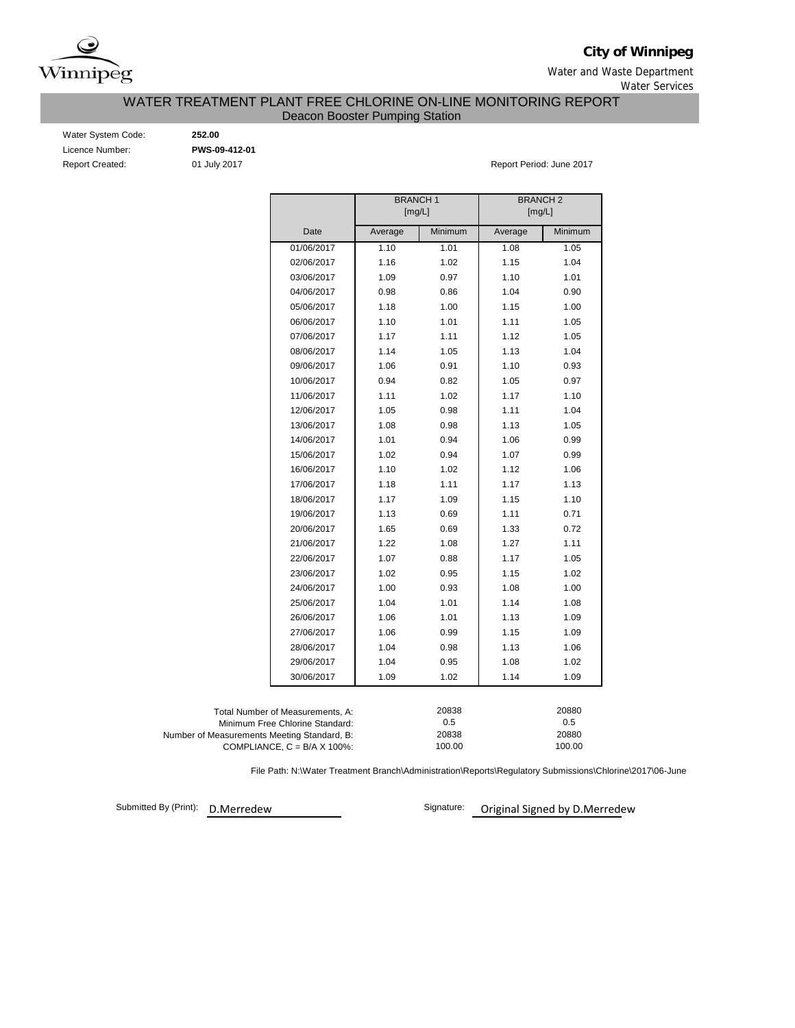

**City of Winnipeg**

Water and Waste Department Water Services

WATER TREATMENT PLANT FREE CHLORINE ON-LINE MONITORING REPORT

Deacon Booster Pumping Station

| Water System Code:     |
|------------------------|
| Licence Number:        |
| <b>Report Created:</b> |

Water System Code: **252.00** Licence Number: **PWS-09-412-01**

01 July 2017 **Report Period: June 2017** 

|                                             |                                      | <b>BRANCH1</b> |         | <b>BRANCH2</b><br>[mg/L] |         |  |  |  |
|---------------------------------------------|--------------------------------------|----------------|---------|--------------------------|---------|--|--|--|
|                                             |                                      | [mg/L]         |         |                          |         |  |  |  |
|                                             | Date                                 | Average        | Minimum | Average                  | Minimum |  |  |  |
|                                             | 01/06/2017                           | 1.10           | 1.01    | 1.08                     | 1.05    |  |  |  |
|                                             | 02/06/2017                           | 1.16           | 1.02    | 1.15                     | 1.04    |  |  |  |
|                                             | 03/06/2017                           | 1.09           | 0.97    | 1.10                     | 1.01    |  |  |  |
|                                             | 04/06/2017                           | 0.98           | 0.86    | 1.04                     | 0.90    |  |  |  |
|                                             | 05/06/2017                           | 1.18           | 1.00    | 1.15                     | 1.00    |  |  |  |
|                                             | 06/06/2017                           | 1.10           | 1.01    | 1.11                     | 1.05    |  |  |  |
|                                             | 07/06/2017                           | 1.17           | 1.11    | 1.12                     | 1.05    |  |  |  |
|                                             | 08/06/2017                           | 1.14           | 1.05    | 1.13                     | 1.04    |  |  |  |
|                                             | 09/06/2017                           | 1.06           | 0.91    | 1.10                     | 0.93    |  |  |  |
|                                             | 10/06/2017                           | 0.94           | 0.82    | 1.05                     | 0.97    |  |  |  |
|                                             | 11/06/2017                           | 1.11           | 1.02    | 1.17                     | 1.10    |  |  |  |
|                                             | 12/06/2017                           | 1.05           | 0.98    | 1.11                     | 1.04    |  |  |  |
|                                             | 13/06/2017                           | 1.08           | 0.98    | 1.13                     | 1.05    |  |  |  |
|                                             | 14/06/2017                           | 1.01           | 0.94    | 1.06                     | 0.99    |  |  |  |
|                                             | 15/06/2017                           | 1.02           | 0.94    | 1.07                     | 0.99    |  |  |  |
|                                             | 16/06/2017                           | 1.10           | 1.02    | 1.12                     | 1.06    |  |  |  |
|                                             | 17/06/2017                           | 1.18           | 1.11    | 1.17                     | 1.13    |  |  |  |
|                                             | 18/06/2017                           | 1.17           | 1.09    | 1.15                     | 1.10    |  |  |  |
|                                             | 19/06/2017                           | 1.13           | 0.69    | 1.11                     | 0.71    |  |  |  |
|                                             | 20/06/2017                           | 1.65           | 0.69    | 1.33                     | 0.72    |  |  |  |
|                                             | 21/06/2017                           | 1.22           | 1.08    | 1.27                     | 1.11    |  |  |  |
|                                             | 22/06/2017                           | 1.07           | 0.88    | 1.17                     | 1.05    |  |  |  |
|                                             | 23/06/2017                           | 1.02           | 0.95    | 1.15                     | 1.02    |  |  |  |
|                                             | 24/06/2017                           | 1.00           | 0.93    | 1.08                     | 1.00    |  |  |  |
|                                             | 25/06/2017                           | 1.04           | 1.01    | 1.14                     | 1.08    |  |  |  |
|                                             | 26/06/2017                           | 1.06           | 1.01    | 1.13                     | 1.09    |  |  |  |
|                                             | 27/06/2017                           | 1.06           | 0.99    | 1.15                     | 1.09    |  |  |  |
|                                             | 28/06/2017                           | 1.04           | 0.98    | 1.13                     | 1.06    |  |  |  |
|                                             | 29/06/2017                           | 1.04           | 0.95    | 1.08                     | 1.02    |  |  |  |
|                                             | 30/06/2017                           | 1.09           | 1.02    | 1.14                     | 1.09    |  |  |  |
|                                             |                                      |                |         |                          |         |  |  |  |
|                                             | Total Number of Measurements, A:     |                | 20838   |                          | 20880   |  |  |  |
|                                             | Minimum Free Chlorine Standard:      |                | 0.5     |                          | 0.5     |  |  |  |
| Number of Measurements Meeting Standard, B: |                                      |                | 20838   |                          | 20880   |  |  |  |
|                                             | COMPLIANCE, $C = B/A \times 100\%$ : |                | 100.00  |                          | 100.00  |  |  |  |

File Path: N:\Water Treatment Branch\Administration\Reports\Regulatory Submissions\Chlorine\2017\06-June

Submitted By (Print): D.Merredew

Signature: **Original Signed by D.Merredew**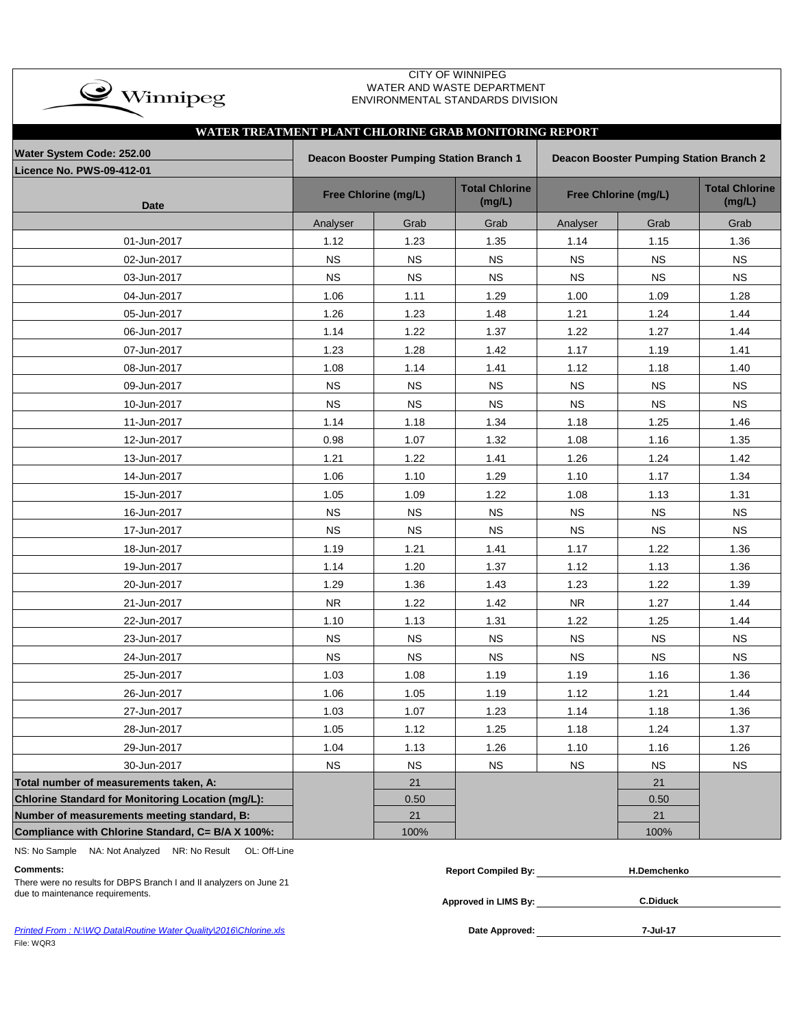| $\rightarrow$ Winnipeg                                |                      |                                         | <b>CITY OF WINNIPEG</b><br>WATER AND WASTE DEPARTMENT<br>ENVIRONMENTAL STANDARDS DIVISION |             |                                                |                                 |
|-------------------------------------------------------|----------------------|-----------------------------------------|-------------------------------------------------------------------------------------------|-------------|------------------------------------------------|---------------------------------|
| WATER TREATMENT PLANT CHLORINE GRAB MONITORING REPORT |                      |                                         |                                                                                           |             |                                                |                                 |
| Water System Code: 252.00                             |                      | Deacon Booster Pumping Station Branch 1 |                                                                                           |             | <b>Deacon Booster Pumping Station Branch 2</b> |                                 |
| Licence No. PWS-09-412-01                             |                      |                                         |                                                                                           |             |                                                |                                 |
| <b>Date</b>                                           | Free Chlorine (mg/L) |                                         | <b>Total Chlorine</b><br>(mg/L)                                                           |             | Free Chlorine (mg/L)                           | <b>Total Chlorine</b><br>(mg/L) |
|                                                       | Analyser             | Grab                                    | Grab                                                                                      | Analyser    | Grab                                           | Grab                            |
| 01-Jun-2017                                           | 1.12                 | 1.23                                    | 1.35                                                                                      | 1.14        | 1.15                                           | 1.36                            |
| 02-Jun-2017                                           | <b>NS</b>            | <b>NS</b>                               | <b>NS</b>                                                                                 | <b>NS</b>   | <b>NS</b>                                      | <b>NS</b>                       |
| 03-Jun-2017                                           | <b>NS</b>            | <b>NS</b>                               | <b>NS</b>                                                                                 | <b>NS</b>   | <b>NS</b>                                      | <b>NS</b>                       |
| 04-Jun-2017                                           | 1.06                 | 1.11                                    | 1.29                                                                                      | 1.00        | 1.09                                           | 1.28                            |
| 05-Jun-2017                                           | 1.26                 | 1.23                                    | 1.48                                                                                      | 1.21        | 1.24                                           | 1.44                            |
| 06-Jun-2017                                           | 1.14                 | 1.22                                    | 1.37                                                                                      | 1.22        | 1.27                                           | 1.44                            |
| 07-Jun-2017                                           | 1.23                 | 1.28                                    | 1.42                                                                                      | 1.17        | 1.19                                           | 1.41                            |
| 08-Jun-2017                                           | 1.08                 | 1.14                                    | 1.41                                                                                      | 1.12        | 1.18                                           | 1.40                            |
| 09-Jun-2017                                           | <b>NS</b>            | <b>NS</b>                               | <b>NS</b>                                                                                 | <b>NS</b>   | <b>NS</b>                                      | <b>NS</b>                       |
| 10-Jun-2017                                           | <b>NS</b>            | <b>NS</b>                               | <b>NS</b>                                                                                 | <b>NS</b>   | <b>NS</b>                                      | <b>NS</b>                       |
| 11-Jun-2017                                           | 1.14                 | 1.18                                    | 1.34                                                                                      | 1.18        | 1.25                                           | 1.46                            |
| 12-Jun-2017                                           | 0.98                 | 1.07                                    | 1.32                                                                                      | 1.08        | 1.16                                           | 1.35                            |
| 13-Jun-2017                                           | 1.21                 | 1.22                                    | 1.41                                                                                      | 1.26        | 1.24                                           | 1.42                            |
| 14-Jun-2017                                           | 1.06                 | 1.10                                    | 1.29                                                                                      | 1.10        | 1.17                                           | 1.34                            |
| 15-Jun-2017                                           | 1.05                 | 1.09                                    | 1.22                                                                                      | 1.08        | 1.13                                           | 1.31                            |
| 16-Jun-2017                                           | <b>NS</b>            | <b>NS</b>                               | <b>NS</b>                                                                                 | <b>NS</b>   | $_{\rm NS}$                                    | <b>NS</b>                       |
| 17-Jun-2017                                           | <b>NS</b>            | <b>NS</b>                               | <b>NS</b>                                                                                 | <b>NS</b>   | <b>NS</b>                                      | <b>NS</b>                       |
| 18-Jun-2017                                           | 1.19                 | 1.21                                    | 1.41                                                                                      | 1.17        | 1.22                                           | 1.36                            |
| 19-Jun-2017                                           | 1.14                 | 1.20                                    | 1.37                                                                                      | 1.12        | 1.13                                           | 1.36                            |
| 20-Jun-2017                                           | 1.29                 | 1.36                                    | 1.43                                                                                      | 1.23        | 1.22                                           | 1.39                            |
| 21-Jun-2017                                           | <b>NR</b>            | 1.22                                    | 1.42                                                                                      | ${\sf NR}$  | 1.27                                           | 1.44                            |
| 22-Jun-2017                                           | 1.10                 | 1.13                                    | 1.31                                                                                      | 1.22        | 1.25                                           | 1.44                            |
| 23-Jun-2017                                           | <b>NS</b>            | <b>NS</b>                               | <b>NS</b>                                                                                 | <b>NS</b>   | <b>NS</b>                                      | <b>NS</b>                       |
| 24-Jun-2017                                           | <b>NS</b>            | NS                                      | <b>NS</b>                                                                                 | $_{\rm NS}$ | $_{\rm NS}$                                    | <b>NS</b>                       |
| 25-Jun-2017                                           | 1.03                 | 1.08                                    | 1.19                                                                                      | 1.19        | 1.16                                           | 1.36                            |
| 26-Jun-2017                                           | 1.06                 | 1.05                                    | 1.19                                                                                      | 1.12        | 1.21                                           | 1.44                            |
| 27-Jun-2017                                           | 1.03                 | 1.07                                    | 1.23                                                                                      | 1.14        | 1.18                                           | 1.36                            |
| 28-Jun-2017                                           | 1.05                 | 1.12                                    | 1.25                                                                                      | 1.18        | 1.24                                           | 1.37                            |
| 29-Jun-2017                                           | 1.04                 | 1.13                                    | 1.26                                                                                      | 1.10        | 1.16                                           | 1.26                            |
| 30-Jun-2017                                           | <b>NS</b>            | <b>NS</b>                               | <b>NS</b>                                                                                 | <b>NS</b>   | <b>NS</b>                                      | <b>NS</b>                       |
| Total number of measurements taken, A:                |                      | 21                                      |                                                                                           |             | 21                                             |                                 |
| Chlorine Standard for Monitoring Location (mg/L):     |                      | 0.50                                    |                                                                                           |             | 0.50                                           |                                 |
| Number of measurements meeting standard, B:           |                      | 21                                      |                                                                                           |             | 21                                             |                                 |
| Compliance with Chlorine Standard, C= B/A X 100%:     |                      | 100%                                    |                                                                                           |             | 100%                                           |                                 |

NS: No Sample NA: Not Analyzed NR: No Result OL: Off-Line

**Approved in LIMS By:** due to maintenance requirements. **C.Diduck** There were no results for DBPS Branch I and II analyzers on June 21

| Comments                                                           | Compiled By:<br>Repor' | 1.Demchenko |  |
|--------------------------------------------------------------------|------------------------|-------------|--|
| There were no require for DDDC Dropph Lond II angluzero on June 04 |                        |             |  |

Printed From : N:\WQ Data\Routine Water Quality\2016\Chlorine.xls **Date Approved:** Date Approved: File: WQR3

**7-Jul-17**